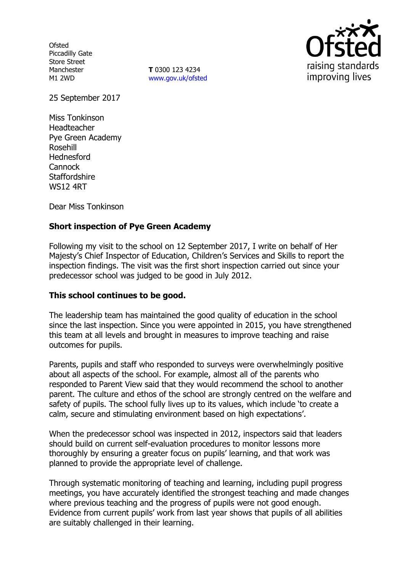**Ofsted** Piccadilly Gate Store Street Manchester M1 2WD

**T** 0300 123 4234 www.gov.uk/ofsted



25 September 2017

Miss Tonkinson Headteacher Pye Green Academy Rosehill Hednesford **Cannock Staffordshire** WS12 4RT

Dear Miss Tonkinson

## **Short inspection of Pye Green Academy**

Following my visit to the school on 12 September 2017, I write on behalf of Her Majesty's Chief Inspector of Education, Children's Services and Skills to report the inspection findings. The visit was the first short inspection carried out since your predecessor school was judged to be good in July 2012.

### **This school continues to be good.**

The leadership team has maintained the good quality of education in the school since the last inspection. Since you were appointed in 2015, you have strengthened this team at all levels and brought in measures to improve teaching and raise outcomes for pupils.

Parents, pupils and staff who responded to surveys were overwhelmingly positive about all aspects of the school. For example, almost all of the parents who responded to Parent View said that they would recommend the school to another parent. The culture and ethos of the school are strongly centred on the welfare and safety of pupils. The school fully lives up to its values, which include 'to create a calm, secure and stimulating environment based on high expectations'.

When the predecessor school was inspected in 2012, inspectors said that leaders should build on current self-evaluation procedures to monitor lessons more thoroughly by ensuring a greater focus on pupils' learning, and that work was planned to provide the appropriate level of challenge.

Through systematic monitoring of teaching and learning, including pupil progress meetings, you have accurately identified the strongest teaching and made changes where previous teaching and the progress of pupils were not good enough. Evidence from current pupils' work from last year shows that pupils of all abilities are suitably challenged in their learning.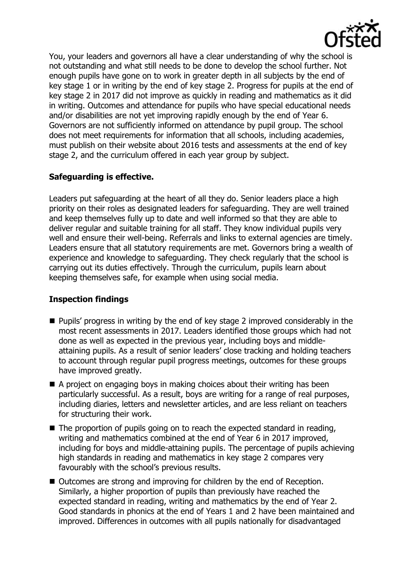

You, your leaders and governors all have a clear understanding of why the school is not outstanding and what still needs to be done to develop the school further. Not enough pupils have gone on to work in greater depth in all subjects by the end of key stage 1 or in writing by the end of key stage 2. Progress for pupils at the end of key stage 2 in 2017 did not improve as quickly in reading and mathematics as it did in writing. Outcomes and attendance for pupils who have special educational needs and/or disabilities are not yet improving rapidly enough by the end of Year 6. Governors are not sufficiently informed on attendance by pupil group. The school does not meet requirements for information that all schools, including academies, must publish on their website about 2016 tests and assessments at the end of key stage 2, and the curriculum offered in each year group by subject.

# **Safeguarding is effective.**

Leaders put safeguarding at the heart of all they do. Senior leaders place a high priority on their roles as designated leaders for safeguarding. They are well trained and keep themselves fully up to date and well informed so that they are able to deliver regular and suitable training for all staff. They know individual pupils very well and ensure their well-being. Referrals and links to external agencies are timely. Leaders ensure that all statutory requirements are met. Governors bring a wealth of experience and knowledge to safeguarding. They check regularly that the school is carrying out its duties effectively. Through the curriculum, pupils learn about keeping themselves safe, for example when using social media.

### **Inspection findings**

- **Pupils' progress in writing by the end of key stage 2 improved considerably in the** most recent assessments in 2017. Leaders identified those groups which had not done as well as expected in the previous year, including boys and middleattaining pupils. As a result of senior leaders' close tracking and holding teachers to account through regular pupil progress meetings, outcomes for these groups have improved greatly.
- A project on engaging boys in making choices about their writing has been particularly successful. As a result, boys are writing for a range of real purposes, including diaries, letters and newsletter articles, and are less reliant on teachers for structuring their work.
- The proportion of pupils going on to reach the expected standard in reading, writing and mathematics combined at the end of Year 6 in 2017 improved, including for boys and middle-attaining pupils. The percentage of pupils achieving high standards in reading and mathematics in key stage 2 compares very favourably with the school's previous results.
- Outcomes are strong and improving for children by the end of Reception. Similarly, a higher proportion of pupils than previously have reached the expected standard in reading, writing and mathematics by the end of Year 2. Good standards in phonics at the end of Years 1 and 2 have been maintained and improved. Differences in outcomes with all pupils nationally for disadvantaged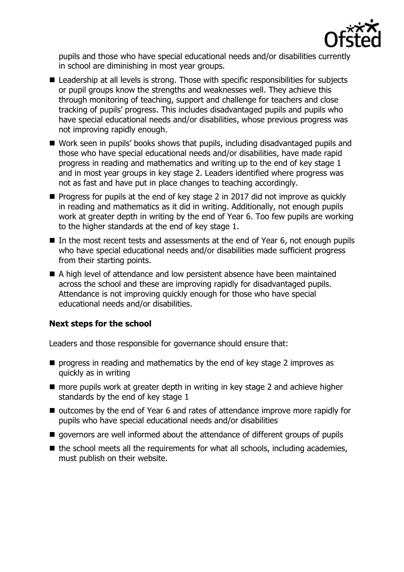

pupils and those who have special educational needs and/or disabilities currently in school are diminishing in most year groups.

- Leadership at all levels is strong. Those with specific responsibilities for subjects or pupil groups know the strengths and weaknesses well. They achieve this through monitoring of teaching, support and challenge for teachers and close tracking of pupils' progress. This includes disadvantaged pupils and pupils who have special educational needs and/or disabilities, whose previous progress was not improving rapidly enough.
- Work seen in pupils' books shows that pupils, including disadvantaged pupils and those who have special educational needs and/or disabilities, have made rapid progress in reading and mathematics and writing up to the end of key stage 1 and in most year groups in key stage 2. Leaders identified where progress was not as fast and have put in place changes to teaching accordingly.
- $\blacksquare$  Progress for pupils at the end of key stage 2 in 2017 did not improve as quickly in reading and mathematics as it did in writing. Additionally, not enough pupils work at greater depth in writing by the end of Year 6. Too few pupils are working to the higher standards at the end of key stage 1.
- In the most recent tests and assessments at the end of Year 6, not enough pupils who have special educational needs and/or disabilities made sufficient progress from their starting points.
- A high level of attendance and low persistent absence have been maintained across the school and these are improving rapidly for disadvantaged pupils. Attendance is not improving quickly enough for those who have special educational needs and/or disabilities.

# **Next steps for the school**

Leaders and those responsible for governance should ensure that:

- **P** progress in reading and mathematics by the end of key stage 2 improves as quickly as in writing
- more pupils work at greater depth in writing in key stage 2 and achieve higher standards by the end of key stage 1
- outcomes by the end of Year 6 and rates of attendance improve more rapidly for pupils who have special educational needs and/or disabilities
- $\blacksquare$  governors are well informed about the attendance of different groups of pupils
- $\blacksquare$  the school meets all the requirements for what all schools, including academies, must publish on their website.